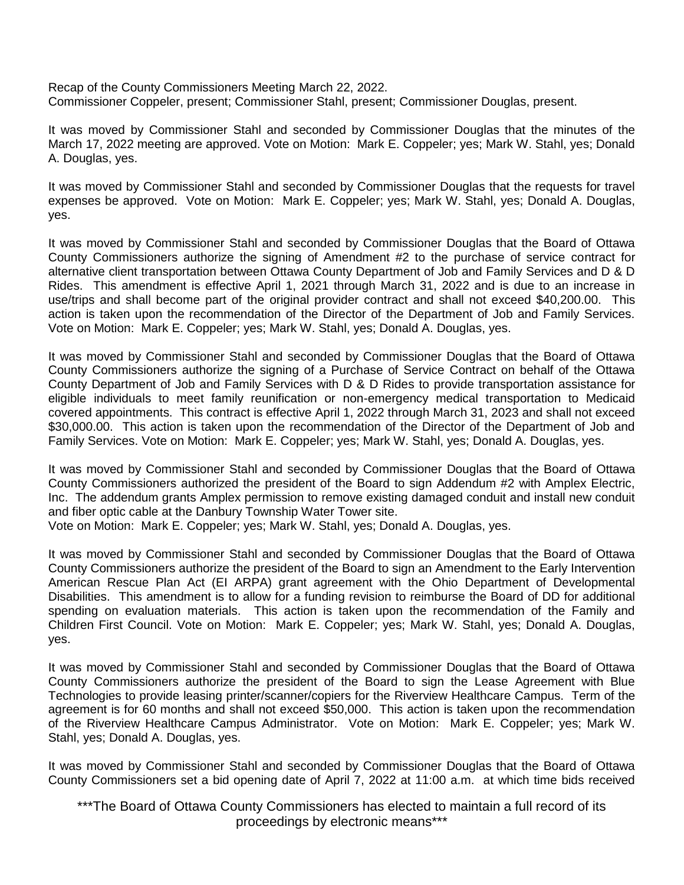Recap of the County Commissioners Meeting March 22, 2022. Commissioner Coppeler, present; Commissioner Stahl, present; Commissioner Douglas, present.

It was moved by Commissioner Stahl and seconded by Commissioner Douglas that the minutes of the March 17, 2022 meeting are approved. Vote on Motion: Mark E. Coppeler; yes; Mark W. Stahl, yes; Donald A. Douglas, yes.

It was moved by Commissioner Stahl and seconded by Commissioner Douglas that the requests for travel expenses be approved. Vote on Motion: Mark E. Coppeler; yes; Mark W. Stahl, yes; Donald A. Douglas, yes.

It was moved by Commissioner Stahl and seconded by Commissioner Douglas that the Board of Ottawa County Commissioners authorize the signing of Amendment #2 to the purchase of service contract for alternative client transportation between Ottawa County Department of Job and Family Services and D & D Rides. This amendment is effective April 1, 2021 through March 31, 2022 and is due to an increase in use/trips and shall become part of the original provider contract and shall not exceed \$40,200.00. This action is taken upon the recommendation of the Director of the Department of Job and Family Services. Vote on Motion: Mark E. Coppeler; yes; Mark W. Stahl, yes; Donald A. Douglas, yes.

It was moved by Commissioner Stahl and seconded by Commissioner Douglas that the Board of Ottawa County Commissioners authorize the signing of a Purchase of Service Contract on behalf of the Ottawa County Department of Job and Family Services with D & D Rides to provide transportation assistance for eligible individuals to meet family reunification or non-emergency medical transportation to Medicaid covered appointments. This contract is effective April 1, 2022 through March 31, 2023 and shall not exceed \$30,000.00. This action is taken upon the recommendation of the Director of the Department of Job and Family Services. Vote on Motion: Mark E. Coppeler; yes; Mark W. Stahl, yes; Donald A. Douglas, yes.

It was moved by Commissioner Stahl and seconded by Commissioner Douglas that the Board of Ottawa County Commissioners authorized the president of the Board to sign Addendum #2 with Amplex Electric, Inc. The addendum grants Amplex permission to remove existing damaged conduit and install new conduit and fiber optic cable at the Danbury Township Water Tower site.

Vote on Motion: Mark E. Coppeler; yes; Mark W. Stahl, yes; Donald A. Douglas, yes.

It was moved by Commissioner Stahl and seconded by Commissioner Douglas that the Board of Ottawa County Commissioners authorize the president of the Board to sign an Amendment to the Early Intervention American Rescue Plan Act (EI ARPA) grant agreement with the Ohio Department of Developmental Disabilities. This amendment is to allow for a funding revision to reimburse the Board of DD for additional spending on evaluation materials. This action is taken upon the recommendation of the Family and Children First Council. Vote on Motion: Mark E. Coppeler; yes; Mark W. Stahl, yes; Donald A. Douglas, yes.

It was moved by Commissioner Stahl and seconded by Commissioner Douglas that the Board of Ottawa County Commissioners authorize the president of the Board to sign the Lease Agreement with Blue Technologies to provide leasing printer/scanner/copiers for the Riverview Healthcare Campus. Term of the agreement is for 60 months and shall not exceed \$50,000. This action is taken upon the recommendation of the Riverview Healthcare Campus Administrator. Vote on Motion: Mark E. Coppeler; yes; Mark W. Stahl, yes; Donald A. Douglas, yes.

It was moved by Commissioner Stahl and seconded by Commissioner Douglas that the Board of Ottawa County Commissioners set a bid opening date of April 7, 2022 at 11:00 a.m. at which time bids received

\*\*\*The Board of Ottawa County Commissioners has elected to maintain a full record of its proceedings by electronic means\*\*\*